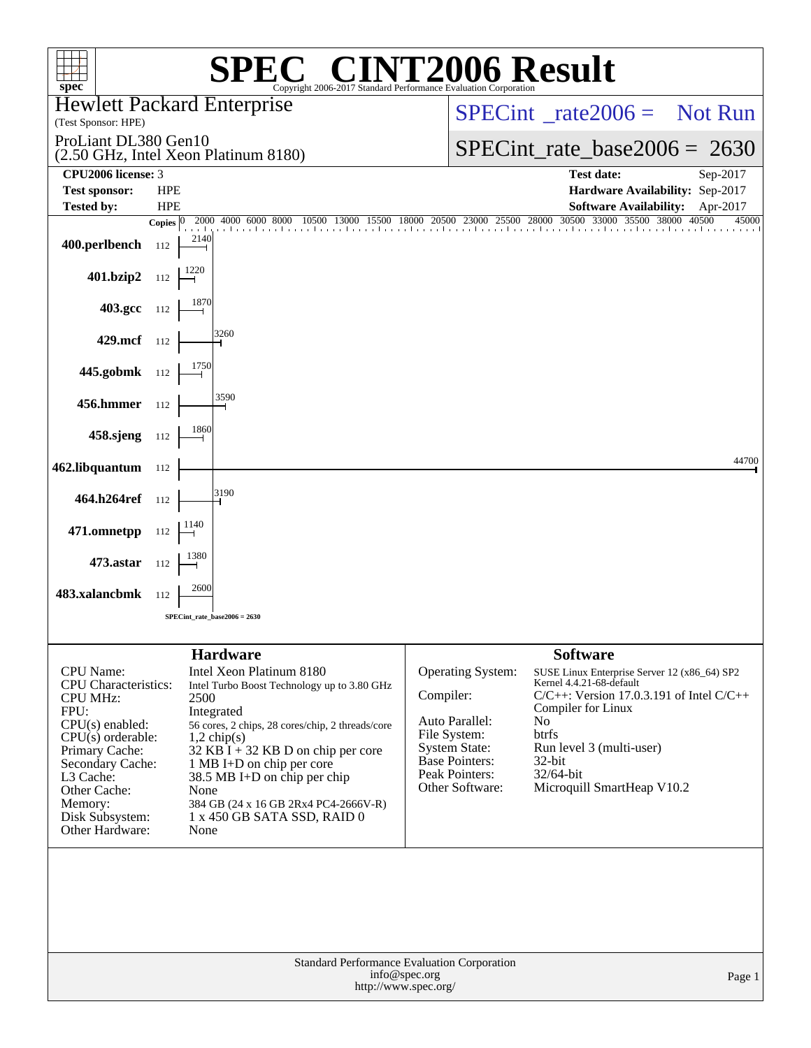| spec <sup>®</sup>                                                                                                                                                                                                                                      | <b>C® CINT2006 Result</b><br>Copyright 2006-2017 Standard Performance Evaluation Corporation                                                                                                                                                                                                                                                                                                |                                                                                                                                                        |                                                                                                                                                                                                                                                                                |  |  |  |  |
|--------------------------------------------------------------------------------------------------------------------------------------------------------------------------------------------------------------------------------------------------------|---------------------------------------------------------------------------------------------------------------------------------------------------------------------------------------------------------------------------------------------------------------------------------------------------------------------------------------------------------------------------------------------|--------------------------------------------------------------------------------------------------------------------------------------------------------|--------------------------------------------------------------------------------------------------------------------------------------------------------------------------------------------------------------------------------------------------------------------------------|--|--|--|--|
| (Test Sponsor: HPE)                                                                                                                                                                                                                                    | <b>Hewlett Packard Enterprise</b>                                                                                                                                                                                                                                                                                                                                                           |                                                                                                                                                        | $SPECint^*_{\text{rate}} 2006 =$ Not Run                                                                                                                                                                                                                                       |  |  |  |  |
| ProLiant DL380 Gen10                                                                                                                                                                                                                                   | (2.50 GHz, Intel Xeon Platinum 8180)                                                                                                                                                                                                                                                                                                                                                        |                                                                                                                                                        | $SPECint_rate_base2006 = 2630$                                                                                                                                                                                                                                                 |  |  |  |  |
| CPU2006 license: 3                                                                                                                                                                                                                                     |                                                                                                                                                                                                                                                                                                                                                                                             |                                                                                                                                                        | <b>Test date:</b><br>Sep-2017                                                                                                                                                                                                                                                  |  |  |  |  |
| <b>Test sponsor:</b>                                                                                                                                                                                                                                   | <b>HPE</b>                                                                                                                                                                                                                                                                                                                                                                                  |                                                                                                                                                        | Hardware Availability: Sep-2017                                                                                                                                                                                                                                                |  |  |  |  |
| <b>Tested by:</b>                                                                                                                                                                                                                                      | <b>HPE</b>                                                                                                                                                                                                                                                                                                                                                                                  |                                                                                                                                                        | Software Availability: Apr-2017<br>30500 33000 35500 38000 40500<br>45000                                                                                                                                                                                                      |  |  |  |  |
| 400.perlbench                                                                                                                                                                                                                                          | 2000 4000 6000 8000 10500 13000 15500 18000 20500 23000 25500 28000<br>Copies $ 0\rangle$<br>2140<br>112                                                                                                                                                                                                                                                                                    |                                                                                                                                                        | and an and                                                                                                                                                                                                                                                                     |  |  |  |  |
| 401.bzip2 $112 \begin{array}{ c} 1220 \\ -112 \end{array}$                                                                                                                                                                                             |                                                                                                                                                                                                                                                                                                                                                                                             |                                                                                                                                                        |                                                                                                                                                                                                                                                                                |  |  |  |  |
| 403.gcc $112$                                                                                                                                                                                                                                          |                                                                                                                                                                                                                                                                                                                                                                                             |                                                                                                                                                        |                                                                                                                                                                                                                                                                                |  |  |  |  |
| 429.mcf $112$                                                                                                                                                                                                                                          |                                                                                                                                                                                                                                                                                                                                                                                             |                                                                                                                                                        |                                                                                                                                                                                                                                                                                |  |  |  |  |
| 445.gobmk $112$                                                                                                                                                                                                                                        |                                                                                                                                                                                                                                                                                                                                                                                             |                                                                                                                                                        |                                                                                                                                                                                                                                                                                |  |  |  |  |
| <b>456.hmmer</b> 112                                                                                                                                                                                                                                   |                                                                                                                                                                                                                                                                                                                                                                                             |                                                                                                                                                        |                                                                                                                                                                                                                                                                                |  |  |  |  |
| 458.sjeng $112$                                                                                                                                                                                                                                        |                                                                                                                                                                                                                                                                                                                                                                                             |                                                                                                                                                        |                                                                                                                                                                                                                                                                                |  |  |  |  |
| 462.libquantum 112                                                                                                                                                                                                                                     |                                                                                                                                                                                                                                                                                                                                                                                             |                                                                                                                                                        | 44700                                                                                                                                                                                                                                                                          |  |  |  |  |
| 464.h264ref 112                                                                                                                                                                                                                                        |                                                                                                                                                                                                                                                                                                                                                                                             |                                                                                                                                                        |                                                                                                                                                                                                                                                                                |  |  |  |  |
| 471.omnetpp $112 \begin{array}{ c c c } \hline 1140 \\ \hline \end{array}$                                                                                                                                                                             |                                                                                                                                                                                                                                                                                                                                                                                             |                                                                                                                                                        |                                                                                                                                                                                                                                                                                |  |  |  |  |
| <b>473.astar</b> 112                                                                                                                                                                                                                                   |                                                                                                                                                                                                                                                                                                                                                                                             |                                                                                                                                                        |                                                                                                                                                                                                                                                                                |  |  |  |  |
| 483.xalancbmk 112                                                                                                                                                                                                                                      | SPECint_rate_base2006 = 2630                                                                                                                                                                                                                                                                                                                                                                |                                                                                                                                                        |                                                                                                                                                                                                                                                                                |  |  |  |  |
|                                                                                                                                                                                                                                                        |                                                                                                                                                                                                                                                                                                                                                                                             |                                                                                                                                                        |                                                                                                                                                                                                                                                                                |  |  |  |  |
| <b>CPU</b> Name:<br><b>CPU</b> Characteristics:<br><b>CPU MHz:</b><br>FPU:<br>$CPU(s)$ enabled:<br>$CPU(s)$ orderable:<br>Primary Cache:<br>Secondary Cache:<br>L <sub>3</sub> Cache:<br>Other Cache:<br>Memory:<br>Disk Subsystem:<br>Other Hardware: | <b>Hardware</b><br>Intel Xeon Platinum 8180<br>Intel Turbo Boost Technology up to 3.80 GHz<br>2500<br>Integrated<br>56 cores, 2 chips, 28 cores/chip, 2 threads/core<br>$1,2$ chip(s)<br>$32$ KB I + 32 KB D on chip per core<br>1 MB I+D on chip per core<br>$38.5 \text{ MB I+D}$ on chip per chip<br>None<br>384 GB (24 x 16 GB 2Rx4 PC4-2666V-R)<br>1 x 450 GB SATA SSD, RAID 0<br>None | Operating System:<br>Compiler:<br>Auto Parallel:<br>File System:<br><b>System State:</b><br><b>Base Pointers:</b><br>Peak Pointers:<br>Other Software: | <b>Software</b><br>SUSE Linux Enterprise Server 12 (x86_64) SP2<br>Kernel 4.4.21-68-default<br>$C/C++$ : Version 17.0.3.191 of Intel $C/C++$<br>Compiler for Linux<br>N <sub>0</sub><br>btrfs<br>Run level 3 (multi-user)<br>32-bit<br>32/64-bit<br>Microquill SmartHeap V10.2 |  |  |  |  |
|                                                                                                                                                                                                                                                        | Standard Performance Evaluation Corporation<br>info@spec.org<br>http://www.spec.org/                                                                                                                                                                                                                                                                                                        |                                                                                                                                                        | Page 1                                                                                                                                                                                                                                                                         |  |  |  |  |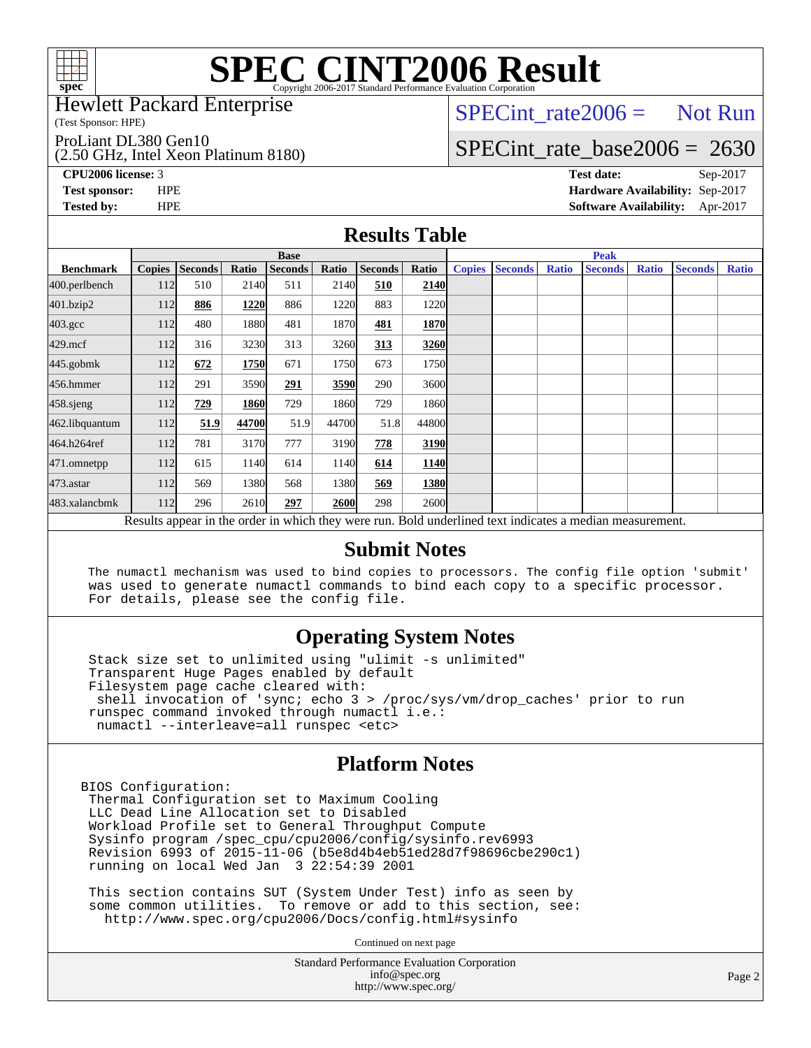

Hewlett Packard Enterprise

(Test Sponsor: HPE)

ProLiant DL380 Gen10

(2.50 GHz, Intel Xeon Platinum 8180)

 $SPECTnt_rate2006 = Not Run$ 

### [SPECint\\_rate\\_base2006 =](http://www.spec.org/auto/cpu2006/Docs/result-fields.html#SPECintratebase2006) 2630

**[CPU2006 license:](http://www.spec.org/auto/cpu2006/Docs/result-fields.html#CPU2006license)** 3 **[Test date:](http://www.spec.org/auto/cpu2006/Docs/result-fields.html#Testdate)** Sep-2017 **[Test sponsor:](http://www.spec.org/auto/cpu2006/Docs/result-fields.html#Testsponsor)** HPE **[Hardware Availability:](http://www.spec.org/auto/cpu2006/Docs/result-fields.html#HardwareAvailability)** Sep-2017 **[Tested by:](http://www.spec.org/auto/cpu2006/Docs/result-fields.html#Testedby)** HPE **[Software Availability:](http://www.spec.org/auto/cpu2006/Docs/result-fields.html#SoftwareAvailability)** Apr-2017

#### **[Results Table](http://www.spec.org/auto/cpu2006/Docs/result-fields.html#ResultsTable)**

|                                                                                                          | <b>Base</b>   |                |       |                |       |                |             | <b>Peak</b>   |                |              |                |              |                |              |
|----------------------------------------------------------------------------------------------------------|---------------|----------------|-------|----------------|-------|----------------|-------------|---------------|----------------|--------------|----------------|--------------|----------------|--------------|
| <b>Benchmark</b>                                                                                         | <b>Copies</b> | <b>Seconds</b> | Ratio | <b>Seconds</b> | Ratio | <b>Seconds</b> | Ratio       | <b>Copies</b> | <b>Seconds</b> | <b>Ratio</b> | <b>Seconds</b> | <b>Ratio</b> | <b>Seconds</b> | <b>Ratio</b> |
| 400.perlbench                                                                                            | 112           | 510            | 2140  | 511            | 2140  | 510            | 2140        |               |                |              |                |              |                |              |
| 401.bzip2                                                                                                | 112           | 886            | 1220  | 886            | 1220  | 883            | 1220        |               |                |              |                |              |                |              |
| $403.\mathrm{gcc}$                                                                                       | 112           | 480            | 1880  | 481            | 1870  | 481            | 1870        |               |                |              |                |              |                |              |
| $429$ .mcf                                                                                               | 112           | 316            | 3230  | 313            | 3260  | 313            | 3260        |               |                |              |                |              |                |              |
| $445$ .gobm $k$                                                                                          | 112           | 672            | 1750  | 671            | 1750  | 673            | 1750        |               |                |              |                |              |                |              |
| 456.hmmer                                                                                                | 112           | 291            | 3590  | 291            | 3590  | 290            | 3600l       |               |                |              |                |              |                |              |
| $458$ .sjeng                                                                                             | 112           | 729            | 1860  | 729            | 1860  | 729            | 1860        |               |                |              |                |              |                |              |
| 462.libquantum                                                                                           | 112           | 51.9           | 44700 | 51.9           | 44700 | 51.8           | 44800       |               |                |              |                |              |                |              |
| 464.h264ref                                                                                              | 112           | 781            | 3170  | 777            | 3190  | 778            | 3190        |               |                |              |                |              |                |              |
| 471.omnetpp                                                                                              | 112           | 615            | 1140  | 614            | 1140  | 614            | 1140        |               |                |              |                |              |                |              |
| $473$ . astar                                                                                            | 112           | 569            | 1380  | 568            | 1380  | 569            | 1380        |               |                |              |                |              |                |              |
| 483.xalancbmk                                                                                            | 112           | 296            | 2610  | 297            | 2600  | 298            | <b>2600</b> |               |                |              |                |              |                |              |
| Results appear in the order in which they were run. Bold underlined text indicates a median measurement. |               |                |       |                |       |                |             |               |                |              |                |              |                |              |

#### **[Submit Notes](http://www.spec.org/auto/cpu2006/Docs/result-fields.html#SubmitNotes)**

 The numactl mechanism was used to bind copies to processors. The config file option 'submit' was used to generate numactl commands to bind each copy to a specific processor. For details, please see the config file.

#### **[Operating System Notes](http://www.spec.org/auto/cpu2006/Docs/result-fields.html#OperatingSystemNotes)**

 Stack size set to unlimited using "ulimit -s unlimited" Transparent Huge Pages enabled by default Filesystem page cache cleared with: shell invocation of 'sync; echo 3 > /proc/sys/vm/drop\_caches' prior to run runspec command invoked through numactl i.e.: numactl --interleave=all runspec <etc>

#### **[Platform Notes](http://www.spec.org/auto/cpu2006/Docs/result-fields.html#PlatformNotes)**

BIOS Configuration: Thermal Configuration set to Maximum Cooling LLC Dead Line Allocation set to Disabled Workload Profile set to General Throughput Compute Sysinfo program /spec\_cpu/cpu2006/config/sysinfo.rev6993 Revision 6993 of 2015-11-06 (b5e8d4b4eb51ed28d7f98696cbe290c1) running on local Wed Jan 3 22:54:39 2001

 This section contains SUT (System Under Test) info as seen by some common utilities. To remove or add to this section, see: <http://www.spec.org/cpu2006/Docs/config.html#sysinfo>

Continued on next page

Standard Performance Evaluation Corporation [info@spec.org](mailto:info@spec.org) <http://www.spec.org/>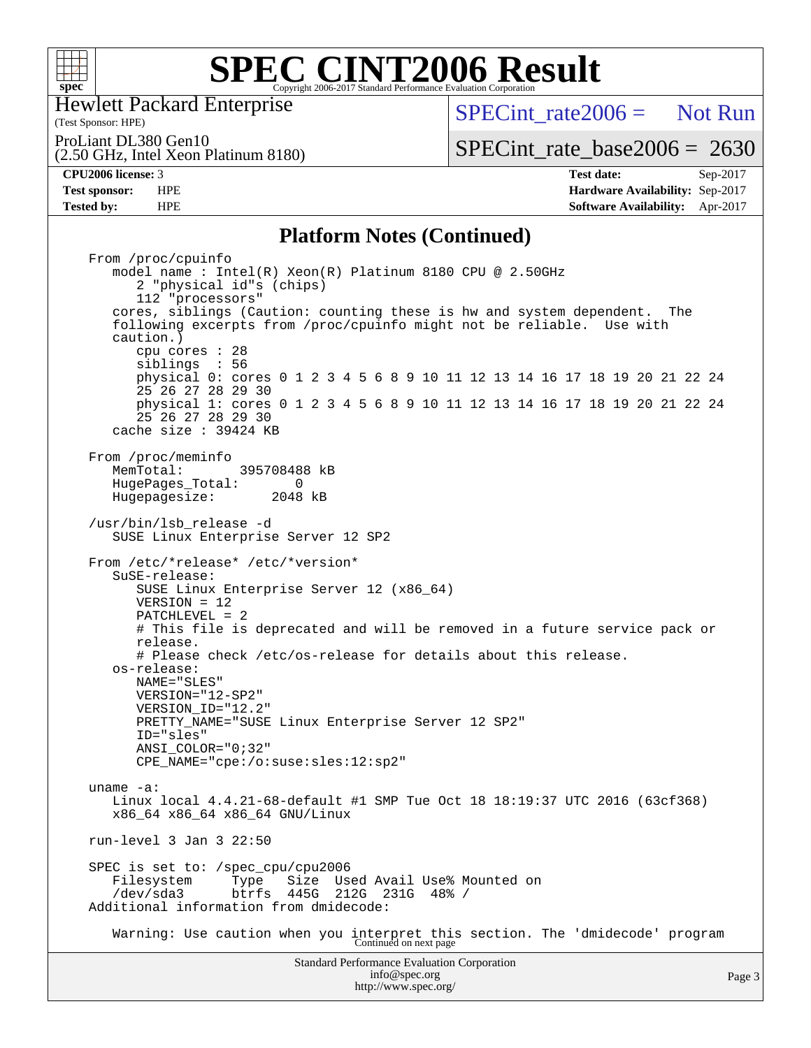

(Test Sponsor: HPE) Hewlett Packard Enterprise

(2.50 GHz, Intel Xeon Platinum 8180)

 $SPECint rate2006 =$  Not Run

ProLiant DL380 Gen10

[SPECint\\_rate\\_base2006 =](http://www.spec.org/auto/cpu2006/Docs/result-fields.html#SPECintratebase2006) 2630

**[CPU2006 license:](http://www.spec.org/auto/cpu2006/Docs/result-fields.html#CPU2006license)** 3 **[Test date:](http://www.spec.org/auto/cpu2006/Docs/result-fields.html#Testdate)** Sep-2017 **[Test sponsor:](http://www.spec.org/auto/cpu2006/Docs/result-fields.html#Testsponsor)** HPE **[Hardware Availability:](http://www.spec.org/auto/cpu2006/Docs/result-fields.html#HardwareAvailability)** Sep-2017 **[Tested by:](http://www.spec.org/auto/cpu2006/Docs/result-fields.html#Testedby)** HPE **[Software Availability:](http://www.spec.org/auto/cpu2006/Docs/result-fields.html#SoftwareAvailability)** Apr-2017

#### **[Platform Notes \(Continued\)](http://www.spec.org/auto/cpu2006/Docs/result-fields.html#PlatformNotes)**

Standard Performance Evaluation Corporation [info@spec.org](mailto:info@spec.org) From /proc/cpuinfo model name : Intel(R) Xeon(R) Platinum 8180 CPU @ 2.50GHz 2 "physical id"s (chips) 112 "processors" cores, siblings (Caution: counting these is hw and system dependent. The following excerpts from /proc/cpuinfo might not be reliable. Use with caution.) cpu cores : 28 siblings : 56 physical 0: cores 0 1 2 3 4 5 6 8 9 10 11 12 13 14 16 17 18 19 20 21 22 24 25 26 27 28 29 30 physical 1: cores 0 1 2 3 4 5 6 8 9 10 11 12 13 14 16 17 18 19 20 21 22 24 25 26 27 28 29 30 cache size : 39424 KB From /proc/meminfo<br>MemTotal: 395708488 kB HugePages\_Total: 0<br>Hugepagesize: 2048 kB Hugepagesize: /usr/bin/lsb\_release -d SUSE Linux Enterprise Server 12 SP2 From /etc/\*release\* /etc/\*version\* SuSE-release: SUSE Linux Enterprise Server 12 (x86\_64) VERSION = 12 PATCHLEVEL = 2 # This file is deprecated and will be removed in a future service pack or release. # Please check /etc/os-release for details about this release. os-release: NAME="SLES" VERSION="12-SP2" VERSION\_ID="12.2" PRETTY\_NAME="SUSE Linux Enterprise Server 12 SP2" ID="sles" ANSI\_COLOR="0;32" CPE\_NAME="cpe:/o:suse:sles:12:sp2" uname -a: Linux local 4.4.21-68-default #1 SMP Tue Oct 18 18:19:37 UTC 2016 (63cf368) x86\_64 x86\_64 x86\_64 GNU/Linux run-level 3 Jan 3 22:50 SPEC is set to: /spec\_cpu/cpu2006 Filesystem Type Size Used Avail Use% Mounted on /dev/sda3 btrfs 445G 212G 231G 48% / Additional information from dmidecode: Warning: Use caution when you interpret this section. The 'dmidecode' program Continued on next page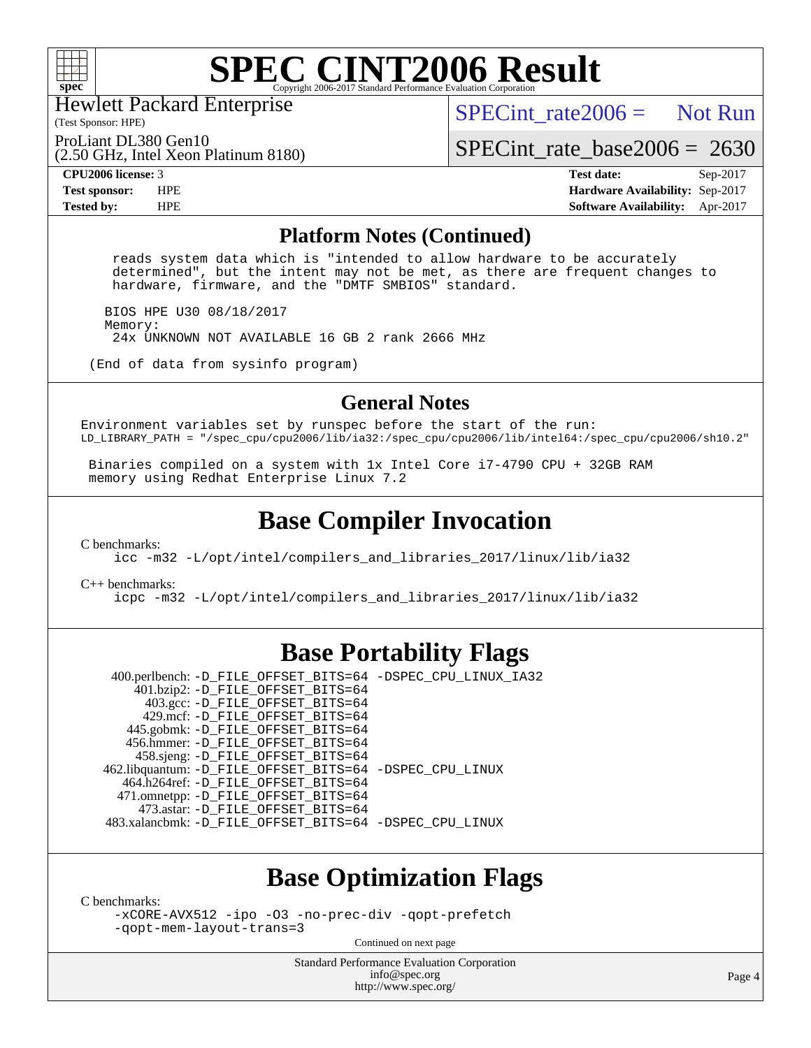

Hewlett Packard Enterprise

(Test Sponsor: HPE)

 $SPECTnt_rate2006 = Not Run$ 

ProLiant DL380 Gen10

(2.50 GHz, Intel Xeon Platinum 8180)

[SPECint\\_rate\\_base2006 =](http://www.spec.org/auto/cpu2006/Docs/result-fields.html#SPECintratebase2006) 2630

**[CPU2006 license:](http://www.spec.org/auto/cpu2006/Docs/result-fields.html#CPU2006license)** 3 **[Test date:](http://www.spec.org/auto/cpu2006/Docs/result-fields.html#Testdate)** Sep-2017 **[Test sponsor:](http://www.spec.org/auto/cpu2006/Docs/result-fields.html#Testsponsor)** HPE **[Hardware Availability:](http://www.spec.org/auto/cpu2006/Docs/result-fields.html#HardwareAvailability)** Sep-2017 **[Tested by:](http://www.spec.org/auto/cpu2006/Docs/result-fields.html#Testedby)** HPE **[Software Availability:](http://www.spec.org/auto/cpu2006/Docs/result-fields.html#SoftwareAvailability)** Apr-2017

#### **[Platform Notes \(Continued\)](http://www.spec.org/auto/cpu2006/Docs/result-fields.html#PlatformNotes)**

 reads system data which is "intended to allow hardware to be accurately determined", but the intent may not be met, as there are frequent changes to hardware, firmware, and the "DMTF SMBIOS" standard.

 BIOS HPE U30 08/18/2017 Memory: 24x UNKNOWN NOT AVAILABLE 16 GB 2 rank 2666 MHz

(End of data from sysinfo program)

#### **[General Notes](http://www.spec.org/auto/cpu2006/Docs/result-fields.html#GeneralNotes)**

Environment variables set by runspec before the start of the run: LD\_LIBRARY\_PATH = "/spec\_cpu/cpu2006/lib/ia32:/spec\_cpu/cpu2006/lib/intel64:/spec\_cpu/cpu2006/sh10.2"

 Binaries compiled on a system with 1x Intel Core i7-4790 CPU + 32GB RAM memory using Redhat Enterprise Linux 7.2

### **[Base Compiler Invocation](http://www.spec.org/auto/cpu2006/Docs/result-fields.html#BaseCompilerInvocation)**

[C benchmarks](http://www.spec.org/auto/cpu2006/Docs/result-fields.html#Cbenchmarks):

[icc -m32 -L/opt/intel/compilers\\_and\\_libraries\\_2017/linux/lib/ia32](http://www.spec.org/cpu2006/results/res2017q4/cpu2006-20170918-49921.flags.html#user_CCbase_intel_icc_c29f3ff5a7ed067b11e4ec10a03f03ae)

[C++ benchmarks:](http://www.spec.org/auto/cpu2006/Docs/result-fields.html#CXXbenchmarks)

[icpc -m32 -L/opt/intel/compilers\\_and\\_libraries\\_2017/linux/lib/ia32](http://www.spec.org/cpu2006/results/res2017q4/cpu2006-20170918-49921.flags.html#user_CXXbase_intel_icpc_8c35c7808b62dab9ae41a1aa06361b6b)

### **[Base Portability Flags](http://www.spec.org/auto/cpu2006/Docs/result-fields.html#BasePortabilityFlags)**

 400.perlbench: [-D\\_FILE\\_OFFSET\\_BITS=64](http://www.spec.org/cpu2006/results/res2017q4/cpu2006-20170918-49921.flags.html#user_basePORTABILITY400_perlbench_file_offset_bits_64_438cf9856305ebd76870a2c6dc2689ab) [-DSPEC\\_CPU\\_LINUX\\_IA32](http://www.spec.org/cpu2006/results/res2017q4/cpu2006-20170918-49921.flags.html#b400.perlbench_baseCPORTABILITY_DSPEC_CPU_LINUX_IA32) 401.bzip2: [-D\\_FILE\\_OFFSET\\_BITS=64](http://www.spec.org/cpu2006/results/res2017q4/cpu2006-20170918-49921.flags.html#user_basePORTABILITY401_bzip2_file_offset_bits_64_438cf9856305ebd76870a2c6dc2689ab) 403.gcc: [-D\\_FILE\\_OFFSET\\_BITS=64](http://www.spec.org/cpu2006/results/res2017q4/cpu2006-20170918-49921.flags.html#user_basePORTABILITY403_gcc_file_offset_bits_64_438cf9856305ebd76870a2c6dc2689ab) 429.mcf: [-D\\_FILE\\_OFFSET\\_BITS=64](http://www.spec.org/cpu2006/results/res2017q4/cpu2006-20170918-49921.flags.html#user_basePORTABILITY429_mcf_file_offset_bits_64_438cf9856305ebd76870a2c6dc2689ab) 445.gobmk: [-D\\_FILE\\_OFFSET\\_BITS=64](http://www.spec.org/cpu2006/results/res2017q4/cpu2006-20170918-49921.flags.html#user_basePORTABILITY445_gobmk_file_offset_bits_64_438cf9856305ebd76870a2c6dc2689ab) 456.hmmer: [-D\\_FILE\\_OFFSET\\_BITS=64](http://www.spec.org/cpu2006/results/res2017q4/cpu2006-20170918-49921.flags.html#user_basePORTABILITY456_hmmer_file_offset_bits_64_438cf9856305ebd76870a2c6dc2689ab) 458.sjeng: [-D\\_FILE\\_OFFSET\\_BITS=64](http://www.spec.org/cpu2006/results/res2017q4/cpu2006-20170918-49921.flags.html#user_basePORTABILITY458_sjeng_file_offset_bits_64_438cf9856305ebd76870a2c6dc2689ab) 462.libquantum: [-D\\_FILE\\_OFFSET\\_BITS=64](http://www.spec.org/cpu2006/results/res2017q4/cpu2006-20170918-49921.flags.html#user_basePORTABILITY462_libquantum_file_offset_bits_64_438cf9856305ebd76870a2c6dc2689ab) [-DSPEC\\_CPU\\_LINUX](http://www.spec.org/cpu2006/results/res2017q4/cpu2006-20170918-49921.flags.html#b462.libquantum_baseCPORTABILITY_DSPEC_CPU_LINUX) 464.h264ref: [-D\\_FILE\\_OFFSET\\_BITS=64](http://www.spec.org/cpu2006/results/res2017q4/cpu2006-20170918-49921.flags.html#user_basePORTABILITY464_h264ref_file_offset_bits_64_438cf9856305ebd76870a2c6dc2689ab) 471.omnetpp: [-D\\_FILE\\_OFFSET\\_BITS=64](http://www.spec.org/cpu2006/results/res2017q4/cpu2006-20170918-49921.flags.html#user_basePORTABILITY471_omnetpp_file_offset_bits_64_438cf9856305ebd76870a2c6dc2689ab) 473.astar: [-D\\_FILE\\_OFFSET\\_BITS=64](http://www.spec.org/cpu2006/results/res2017q4/cpu2006-20170918-49921.flags.html#user_basePORTABILITY473_astar_file_offset_bits_64_438cf9856305ebd76870a2c6dc2689ab) 483.xalancbmk: [-D\\_FILE\\_OFFSET\\_BITS=64](http://www.spec.org/cpu2006/results/res2017q4/cpu2006-20170918-49921.flags.html#user_basePORTABILITY483_xalancbmk_file_offset_bits_64_438cf9856305ebd76870a2c6dc2689ab) [-DSPEC\\_CPU\\_LINUX](http://www.spec.org/cpu2006/results/res2017q4/cpu2006-20170918-49921.flags.html#b483.xalancbmk_baseCXXPORTABILITY_DSPEC_CPU_LINUX)

### **[Base Optimization Flags](http://www.spec.org/auto/cpu2006/Docs/result-fields.html#BaseOptimizationFlags)**

[C benchmarks](http://www.spec.org/auto/cpu2006/Docs/result-fields.html#Cbenchmarks):

[-xCORE-AVX512](http://www.spec.org/cpu2006/results/res2017q4/cpu2006-20170918-49921.flags.html#user_CCbase_f-xCORE-AVX512) [-ipo](http://www.spec.org/cpu2006/results/res2017q4/cpu2006-20170918-49921.flags.html#user_CCbase_f-ipo) [-O3](http://www.spec.org/cpu2006/results/res2017q4/cpu2006-20170918-49921.flags.html#user_CCbase_f-O3) [-no-prec-div](http://www.spec.org/cpu2006/results/res2017q4/cpu2006-20170918-49921.flags.html#user_CCbase_f-no-prec-div) [-qopt-prefetch](http://www.spec.org/cpu2006/results/res2017q4/cpu2006-20170918-49921.flags.html#user_CCbase_f-qopt-prefetch) [-qopt-mem-layout-trans=3](http://www.spec.org/cpu2006/results/res2017q4/cpu2006-20170918-49921.flags.html#user_CCbase_f-qopt-mem-layout-trans_170f5be61cd2cedc9b54468c59262d5d)

Continued on next page

Standard Performance Evaluation Corporation [info@spec.org](mailto:info@spec.org) <http://www.spec.org/>

Page 4